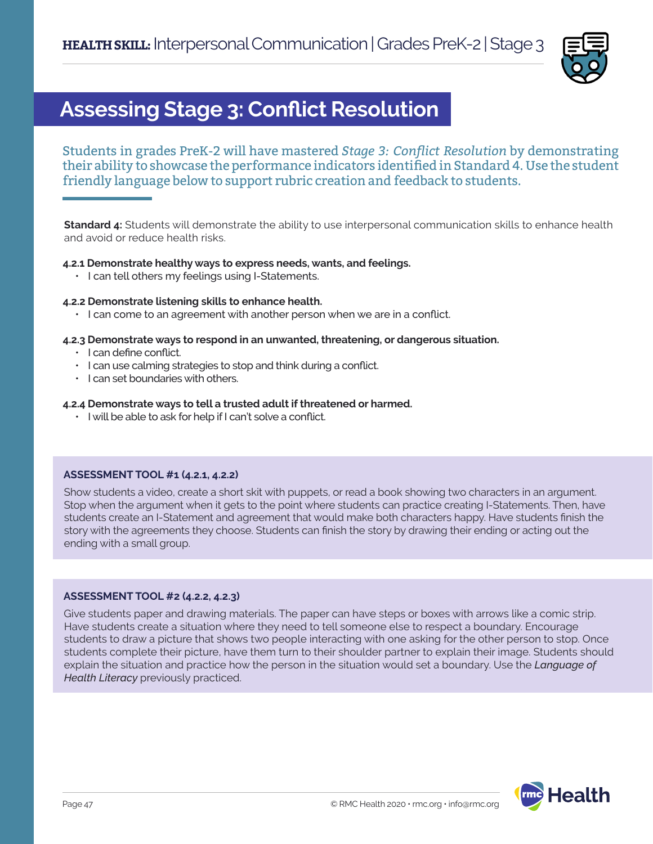

# **Assessing Stage 3: Conflict Resolution**

Students in grades PreK-2 will have mastered *Stage 3: Conflict Resolution* by demonstrating their ability to showcase the performance indicators identified in Standard 4. Use the student friendly language below to support rubric creation and feedback to students.

**Standard 4:** Students will demonstrate the ability to use interpersonal communication skills to enhance health and avoid or reduce health risks.

# **4.2.1 Demonstrate healthy ways to express needs, wants, and feelings.**

• I can tell others my feelings using I-Statements.

### **4.2.2 Demonstrate listening skills to enhance health.**

• I can come to an agreement with another person when we are in a conflict.

### **4.2.3 Demonstrate ways to respond in an unwanted, threatening, or dangerous situation.**

- I can define conflict.
- I can use calming strategies to stop and think during a conflict.
- I can set boundaries with others.

### **4.2.4 Demonstrate ways to tell a trusted adult if threatened or harmed.**

• I will be able to ask for help if I can't solve a conflict.

### **ASSESSMENT TOOL #1 (4.2.1, 4.2.2)**

Show students a video, create a short skit with puppets, or read a book showing two characters in an argument. Stop when the argument when it gets to the point where students can practice creating I-Statements. Then, have students create an I-Statement and agreement that would make both characters happy. Have students finish the story with the agreements they choose. Students can finish the story by drawing their ending or acting out the ending with a small group.

### **ASSESSMENT TOOL #2 (4.2.2, 4.2.3)**

Give students paper and drawing materials. The paper can have steps or boxes with arrows like a comic strip. Have students create a situation where they need to tell someone else to respect a boundary. Encourage students to draw a picture that shows two people interacting with one asking for the other person to stop. Once students complete their picture, have them turn to their shoulder partner to explain their image. Students should explain the situation and practice how the person in the situation would set a boundary. Use the *Language of Health Literacy* previously practiced.

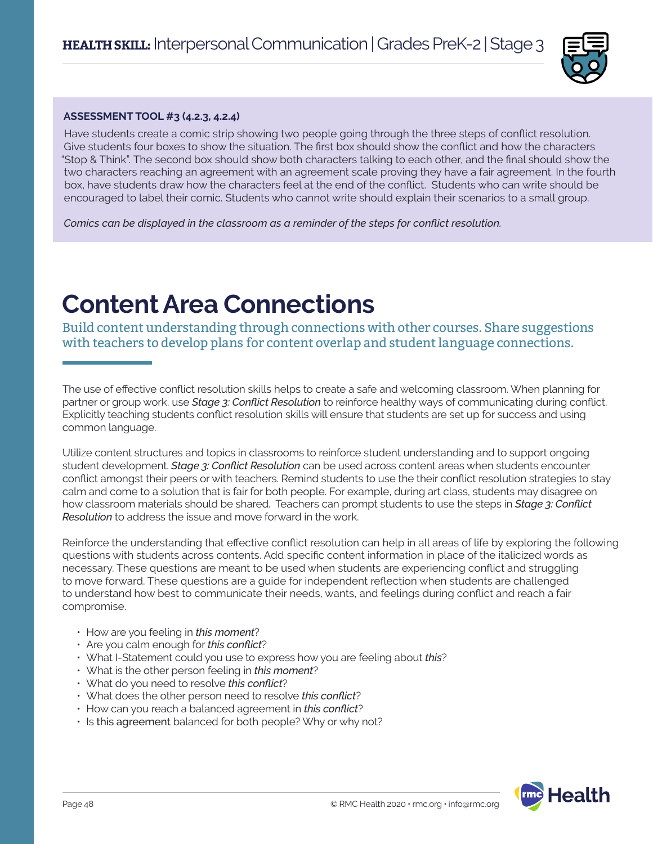

### **ASSESSMENT TOOL #3 (4.2.3, 4.2.4)**

Have students create a comic strip showing two people going through the three steps of conflict resolution. Give students four boxes to show the situation. The first box should show the conflict and how the characters "Stop & Think". The second box should show both characters talking to each other, and the final should show the two characters reaching an agreement with an agreement scale proving they have a fair agreement. In the fourth box, have students draw how the characters feel at the end of the conflict. Students who can write should be encouraged to label their comic. Students who cannot write should explain their scenarios to a small group.

*Comics can be displayed in the classroom as a reminder of the steps for conflict resolution.* 

# **Content Area Connections**

Build content understanding through connections with other courses. Share suggestions with teachers to develop plans for content overlap and student language connections.

The use of effective conflict resolution skills helps to create a safe and welcoming classroom. When planning for partner or group work, use *Stage 3: Conflict Resolution* to reinforce healthy ways of communicating during conflict. Explicitly teaching students conflict resolution skills will ensure that students are set up for success and using common language.

Utilize content structures and topics in classrooms to reinforce student understanding and to support ongoing student development. *Stage 3: Conflict Resolution* can be used across content areas when students encounter conflict amongst their peers or with teachers. Remind students to use the their conflict resolution strategies to stay calm and come to a solution that is fair for both people. For example, during art class, students may disagree on how classroom materials should be shared. Teachers can prompt students to use the steps in *Stage 3: Conflict Resolution* to address the issue and move forward in the work.

Reinforce the understanding that effective conflict resolution can help in all areas of life by exploring the following questions with students across contents. Add specific content information in place of the italicized words as necessary. These questions are meant to be used when students are experiencing conflict and struggling to move forward. These questions are a guide for independent reflection when students are challenged to understand how best to communicate their needs, wants, and feelings during conflict and reach a fair compromise.

- How are you feeling in *this moment*?
- Are you calm enough for *this conflict*?
- What I-Statement could you use to express how you are feeling about *this*?
- What is the other person feeling in *this moment*?
- What do you need to resolve *this conflict*?
- What does the other person need to resolve *this conflict*?
- How can you reach a balanced agreement in *this conflict*?
- Is this agreement balanced for both people? Why or why not?